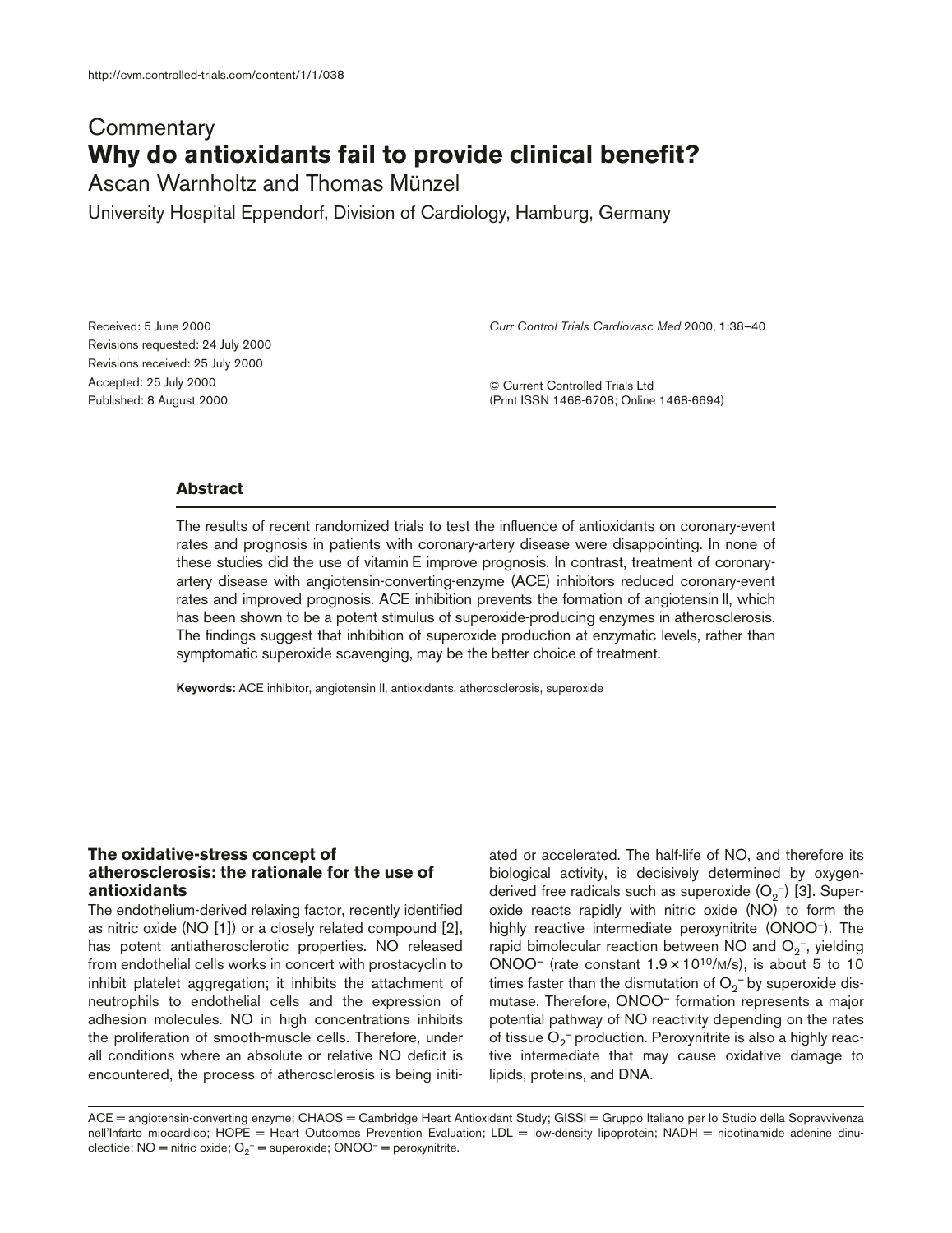# **Commentary Why do antioxidants fail to provide clinical benefit?**

Ascan Warnholtz and Thomas Münzel

University Hospital Eppendorf, Division of Cardiology, Hamburg, Germany

Received: 5 June 2000 Revisions requested: 24 July 2000 Revisions received: 25 July 2000 Accepted: 25 July 2000 Published: 8 August 2000

*Curr Control Trials Cardiovasc Med* 2000, **1**:38–40

© Current Controlled Trials Ltd (Print ISSN 1468-6708; Online 1468-6694)

# **Abstract**

The results of recent randomized trials to test the influence of antioxidants on coronary-event rates and prognosis in patients with coronary-artery disease were disappointing. In none of these studies did the use of vitamin E improve prognosis. In contrast, treatment of coronaryartery disease with angiotensin-converting-enzyme (ACE) inhibitors reduced coronary-event rates and improved prognosis. ACE inhibition prevents the formation of angiotensin II, which has been shown to be a potent stimulus of superoxide-producing enzymes in atherosclerosis. The findings suggest that inhibition of superoxide production at enzymatic levels, rather than symptomatic superoxide scavenging, may be the better choice of treatment.

**Keywords:** ACE inhibitor, angiotensin II, antioxidants, atherosclerosis, superoxide

### **The oxidative-stress concept of atherosclerosis: the rationale for the use of antioxidants**

The endothelium-derived relaxing factor, recently identified as nitric oxide (NO [1]) or a closely related compound [2], has potent antiatherosclerotic properties. NO released from endothelial cells works in concert with prostacyclin to inhibit platelet aggregation; it inhibits the attachment of neutrophils to endothelial cells and the expression of adhesion molecules. NO in high concentrations inhibits the proliferation of smooth-muscle cells. Therefore, under all conditions where an absolute or relative NO deficit is encountered, the process of atherosclerosis is being initiated or accelerated. The half-life of NO, and therefore its biological activity, is decisively determined by oxygenderived free radicals such as superoxide (O<sub>2</sub>-) [3]. Superoxide reacts rapidly with nitric oxide (NO) to form the highly reactive intermediate peroxynitrite (ONOO–). The rapid bimolecular reaction between NO and  $\mathrm{O}_2$ <sup>-</sup>, yielding ONOO<sup>-</sup> (rate constant  $1.9 \times 10^{10}$ /M/s), is about 5 to 10 times faster than the dismutation of  $\mathrm{O}_2^{-}$  by superoxide dismutase. Therefore, ONOO– formation represents a major potential pathway of NO reactivity depending on the rates of tissue  $\mathrm{O}_2^-$  production. Peroxynitrite is also a highly reactive intermediate that may cause oxidative damage to lipids, proteins, and DNA.

ACE = angiotensin-converting enzyme; CHAOS = Cambridge Heart Antioxidant Study; GISSI = Gruppo Italiano per lo Studio della Sopravvivenza nell'Infarto miocardico; HOPE = Heart Outcomes Prevention Evaluation; LDL = low-density lipoprotein; NADH = nicotinamide adenine dinucleotide; NO = nitric oxide;  $O_2$ <sup>-</sup> = superoxide; ONOO<sup>-</sup> = peroxynitrite.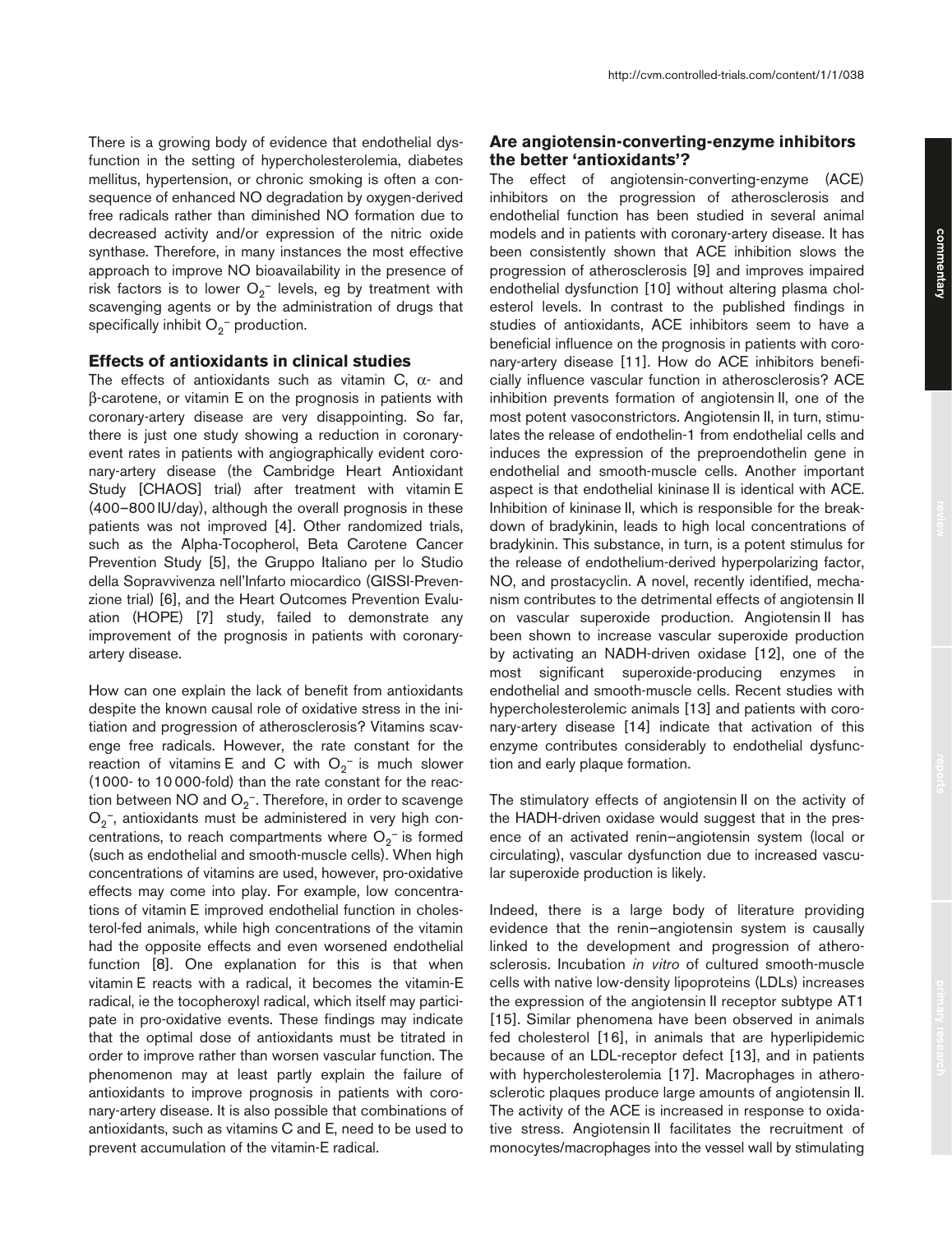There is a growing body of evidence that endothelial dysfunction in the setting of hypercholesterolemia, diabetes mellitus, hypertension, or chronic smoking is often a consequence of enhanced NO degradation by oxygen-derived free radicals rather than diminished NO formation due to decreased activity and/or expression of the nitric oxide synthase. Therefore, in many instances the most effective approach to improve NO bioavailability in the presence of risk factors is to lower  $O_2$ <sup>-</sup> levels, eg by treatment with scavenging agents or by the administration of drugs that specifically inhibit  $O_2^-$  production.

### **Effects of antioxidants in clinical studies**

The effects of antioxidants such as vitamin C,  $\alpha$ - and β-carotene, or vitamin E on the prognosis in patients with coronary-artery disease are very disappointing. So far, there is just one study showing a reduction in coronaryevent rates in patients with angiographically evident coronary-artery disease (the Cambridge Heart Antioxidant Study [CHAOS] trial) after treatment with vitamin E (400–800 IU/day), although the overall prognosis in these patients was not improved [4]. Other randomized trials, such as the Alpha-Tocopherol, Beta Carotene Cancer Prevention Study [5], the Gruppo Italiano per lo Studio della Sopravvivenza nell'Infarto miocardico (GISSI-Prevenzione trial) [6], and the Heart Outcomes Prevention Evaluation (HOPE) [7] study, failed to demonstrate any improvement of the prognosis in patients with coronaryartery disease.

How can one explain the lack of benefit from antioxidants despite the known causal role of oxidative stress in the initiation and progression of atherosclerosis? Vitamins scavenge free radicals. However, the rate constant for the reaction of vitamins E and C with  $O_2^-$  is much slower (1000- to 10 000-fold) than the rate constant for the reaction between NO and  $\rm O_2$  . Therefore, in order to scavenge  $O_2$ <sup>-</sup>, antioxidants must be administered in very high concentrations, to reach compartments where  $O_2^-$  is formed (such as endothelial and smooth-muscle cells). When high concentrations of vitamins are used, however, pro-oxidative effects may come into play. For example, low concentrations of vitamin E improved endothelial function in cholesterol-fed animals, while high concentrations of the vitamin had the opposite effects and even worsened endothelial function [8]. One explanation for this is that when vitamin E reacts with a radical, it becomes the vitamin-E radical, ie the tocopheroxyl radical, which itself may participate in pro-oxidative events. These findings may indicate that the optimal dose of antioxidants must be titrated in order to improve rather than worsen vascular function. The phenomenon may at least partly explain the failure of antioxidants to improve prognosis in patients with coronary-artery disease. It is also possible that combinations of antioxidants, such as vitamins C and E, need to be used to prevent accumulation of the vitamin-E radical.

## **Are angiotensin-converting-enzyme inhibitors the better 'antioxidants'?**

The effect of angiotensin-converting-enzyme (ACE) inhibitors on the progression of atherosclerosis and endothelial function has been studied in several animal models and in patients with coronary-artery disease. It has been consistently shown that ACE inhibition slows the progression of atherosclerosis [9] and improves impaired endothelial dysfunction [10] without altering plasma cholesterol levels. In contrast to the published findings in studies of antioxidants, ACE inhibitors seem to have a beneficial influence on the prognosis in patients with coronary-artery disease [11]. How do ACE inhibitors beneficially influence vascular function in atherosclerosis? ACE inhibition prevents formation of angiotensin II, one of the most potent vasoconstrictors. Angiotensin II, in turn, stimulates the release of endothelin-1 from endothelial cells and induces the expression of the preproendothelin gene in endothelial and smooth-muscle cells. Another important aspect is that endothelial kininase II is identical with ACE. Inhibition of kininase II, which is responsible for the breakdown of bradykinin, leads to high local concentrations of bradykinin. This substance, in turn, is a potent stimulus for the release of endothelium-derived hyperpolarizing factor, NO, and prostacyclin. A novel, recently identified, mechanism contributes to the detrimental effects of angiotensin II on vascular superoxide production. Angiotensin II has been shown to increase vascular superoxide production by activating an NADH-driven oxidase [12], one of the most significant superoxide-producing enzymes in endothelial and smooth-muscle cells. Recent studies with hypercholesterolemic animals [13] and patients with coronary-artery disease [14] indicate that activation of this enzyme contributes considerably to endothelial dysfunction and early plaque formation.

The stimulatory effects of angiotensin II on the activity of the HADH-driven oxidase would suggest that in the presence of an activated renin–angiotensin system (local or circulating), vascular dysfunction due to increased vascular superoxide production is likely.

Indeed, there is a large body of literature providing evidence that the renin–angiotensin system is causally linked to the development and progression of atherosclerosis. Incubation *in vitro* of cultured smooth-muscle cells with native low-density lipoproteins (LDLs) increases the expression of the angiotensin II receptor subtype AT1 [15]. Similar phenomena have been observed in animals fed cholesterol [16], in animals that are hyperlipidemic because of an LDL-receptor defect [13], and in patients with hypercholesterolemia [17]. Macrophages in atherosclerotic plaques produce large amounts of angiotensin II. The activity of the ACE is increased in response to oxidative stress. Angiotensin II facilitates the recruitment of monocytes/macrophages into the vessel wall by stimulating